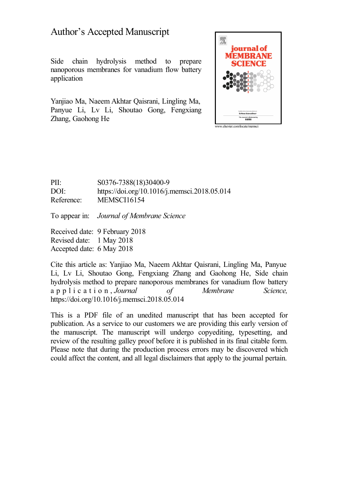## Author's Accepted Manuscript

Side chain hydrolysis method to prepare nanoporous membranes for vanadium flow battery application

Yanjiao Ma, Naeem Akhtar Qaisrani, Lingling Ma, Panyue Li, Lv Li, Shoutao Gong, Fengxiang Zhang, Gaohong He



PII: S0376-7388(18)30400-9 DOI: <https://doi.org/10.1016/j.memsci.2018.05.014> Reference: MEMSCI16154

To appear in: *Journal of Membrane Science*

Received date: 9 February 2018 Revised date: 1 May 2018 Accepted date: 6 May 2018

Cite this article as: Yanjiao Ma, Naeem Akhtar Qaisrani, Lingling Ma, Panyue Li, Lv Li, Shoutao Gong, Fengxiang Zhang and Gaohong He, Side chain hydrolysis method to prepare nanoporous membranes for vanadium flow battery a p p l i c a t i o n , *Journal of Membrane Science,* <https://doi.org/10.1016/j.memsci.2018.05.014>

This is a PDF file of an unedited manuscript that has been accepted for publication. As a service to our customers we are providing this early version of the manuscript. The manuscript will undergo copyediting, typesetting, and review of the resulting galley proof before it is published in its final citable form. Please note that during the production process errors may be discovered which could affect the content, and all legal disclaimers that apply to the journal pertain.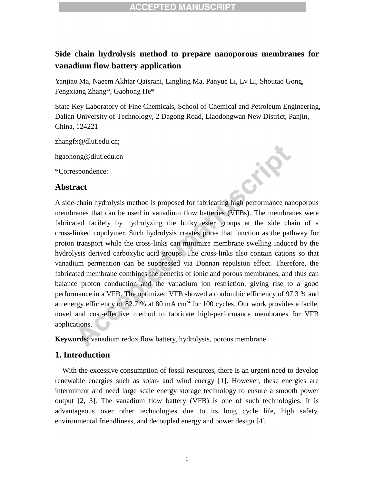### **Side chain hydrolysis method to prepare nanoporous membranes for vanadium flow battery application**

Yanjiao Ma, Naeem Akhtar Qaisrani, Lingling Ma, Panyue Li, Lv Li, Shoutao Gong, Fengxiang Zhang\*, Gaohong He\*

State Key Laboratory of Fine Chemicals, School of Chemical and Petroleum Engineering, Dalian University of Technology, 2 Dagong Road, Liaodongwan New District, Panjin, China, 124221

[zhangfx@dlut.edu.cn;](mailto:zhangfx@dlut.edu.cn;) 

hgaohong@dlut.edu.cn

\*Correspondence:

#### **Abstract**



A side-chain hydrolysis method is proposed for fabricating high performance nanoporous membranes that can be used in vanadium flow batteries (VFBs). The membranes were fabricated facilely by hydrolyzing the bulky ester groups at the side chain of a cross-linked copolymer. Such hydrolysis creates pores that function as the pathway for proton transport while the cross-links can minimize membrane swelling induced by the hydrolysis derived carboxylic acid groups. The cross-links also contain cations so that vanadium permeation can be suppressed via Donnan repulsion effect. Therefore, the fabricated membrane combines the benefits of ionic and porous membranes, and thus can balance proton conduction and the vanadium ion restriction, giving rise to a good performance in a VFB. The optimized VFB showed a coulombic efficiency of 97.3 % and an energy efficiency of 82.7 % at 80 mA  $cm<sup>-2</sup>$  for 100 cycles. Our work provides a facile, novel and cost-effective method to fabricate high-performance membranes for VFB applications.

**Keywords:** vanadium redox flow battery, hydrolysis, porous membrane

#### **1. Introduction**

With the excessive consumption of fossil resources, there is an urgent need to develop renewable energies such as solar- and wind energy [\[1\]](#page--1-0). However, these energies are intermittent and need large scale energy storage technology to ensure a smooth power output [\[2,](#page--1-0) [3\]](#page--1-0). The vanadium flow battery (VFB) is one of such technologies. It is advantageous over other technologies due to its long cycle life, high safety, environmental friendliness, and decoupled energy and power design [\[4\]](#page--1-0).